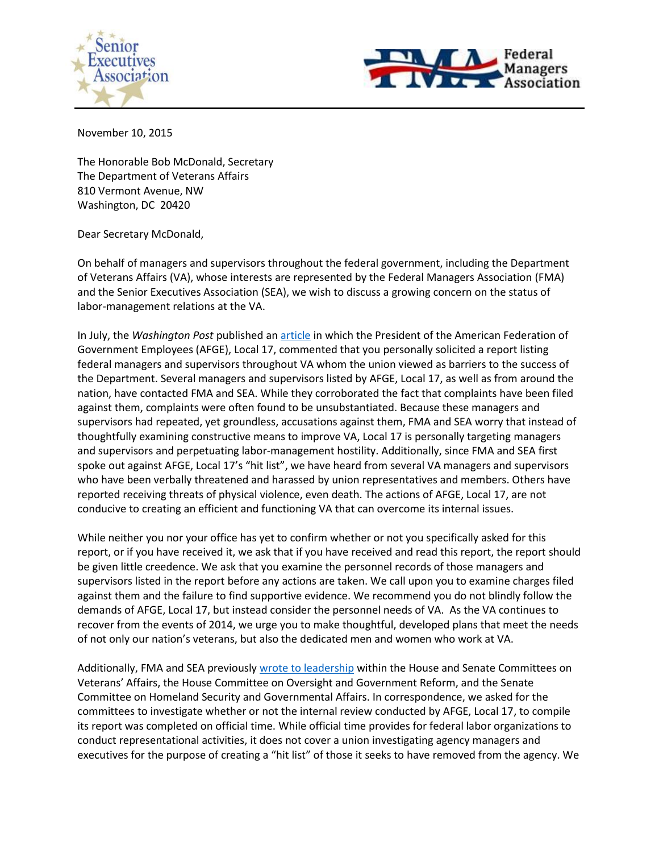



November 10, 2015

The Honorable Bob McDonald, Secretary The Department of Veterans Affairs 810 Vermont Avenue, NW Washington, DC 20420

Dear Secretary McDonald,

On behalf of managers and supervisors throughout the federal government, including the Department of Veterans Affairs (VA), whose interests are represented by the Federal Managers Association (FMA) and the Senior Executives Association (SEA), we wish to discuss a growing concern on the status of labor-management relations at the VA.

In July, the *Washington Post* published a[n article](https://www.washingtonpost.com/politics/va-union-submits-report-alleging-dysfunction-by-agency-superiors/2015/07/24/633093ee-320d-11e5-8f36-18d1d501920d_story.html) in which the President of the American Federation of Government Employees (AFGE), Local 17, commented that you personally solicited a report listing federal managers and supervisors throughout VA whom the union viewed as barriers to the success of the Department. Several managers and supervisors listed by AFGE, Local 17, as well as from around the nation, have contacted FMA and SEA. While they corroborated the fact that complaints have been filed against them, complaints were often found to be unsubstantiated. Because these managers and supervisors had repeated, yet groundless, accusations against them, FMA and SEA worry that instead of thoughtfully examining constructive means to improve VA, Local 17 is personally targeting managers and supervisors and perpetuating labor-management hostility. Additionally, since FMA and SEA first spoke out against AFGE, Local 17's "hit list", we have heard from several VA managers and supervisors who have been verbally threatened and harassed by union representatives and members. Others have reported receiving threats of physical violence, even death. The actions of AFGE, Local 17, are not conducive to creating an efficient and functioning VA that can overcome its internal issues.

While neither you nor your office has yet to confirm whether or not you specifically asked for this report, or if you have received it, we ask that if you have received and read this report, the report should be given little creedence. We ask that you examine the personnel records of those managers and supervisors listed in the report before any actions are taken. We call upon you to examine charges filed against them and the failure to find supportive evidence. We recommend you do not blindly follow the demands of AFGE, Local 17, but instead consider the personnel needs of VA. As the VA continues to recover from the events of 2014, we urge you to make thoughtful, developed plans that meet the needs of not only our nation's veterans, but also the dedicated men and women who work at VA.

Additionally, FMA and SEA previously wrote [to leadership](https://seniorexecs.org/images/documents/policy_letters/SEAFMALettertoHVACSVACOGRHSGAConAFGEmanagementhitlist.pdf) within the House and Senate Committees on Veterans' Affairs, the House Committee on Oversight and Government Reform, and the Senate Committee on Homeland Security and Governmental Affairs. In correspondence, we asked for the committees to investigate whether or not the internal review conducted by AFGE, Local 17, to compile its report was completed on official time. While official time provides for federal labor organizations to conduct representational activities, it does not cover a union investigating agency managers and executives for the purpose of creating a "hit list" of those it seeks to have removed from the agency. We